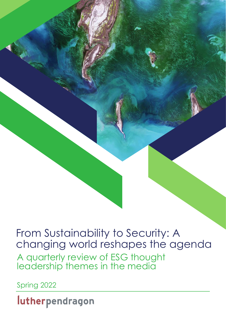A quarterly review of ESG thought leadership themes in the media From Sustainability to Security: A changing world reshapes the agenda

Spring 2022

lutherpendragon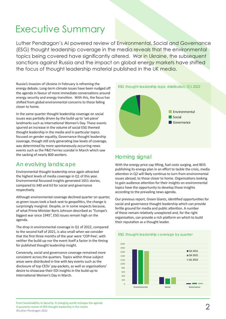# Executive Summary

Luther Pendragon's AI powered review of Environmental, Social and Governance (ESG) thought leadership coverage in the media reveals that the environmental topics being covered have significantly altered. War in Ukraine, the subsequent sanctions against Russia and the impact on global energy markets have shifted the focus of thought leadership material published in the UK media.

Russia's invasion of Ukraine in February is reframing the energy debate. Long-term climate issues have been nudged off the agenda in favour of more immediate conversations around energy security and energy transition. With this, the focus has shifted from global environmental concerns to those falling closer to home.

In the same quarter thought leadership coverage on social issues was partially driven by the build-up to 'set-piece' landmarks such as International Women's Day. These events spurred an increase in the volume of social ESG themed thought leadership in the media and in particular topics focused on gender equality. Governance thought leadership coverage, though still only generating low levels of coverage, was determined by more spontaneously occurring news events such as the P&O Ferries scandal in March which saw the sacking of nearly 800 workers.

# An evolving landscape

Environmental thought leadership once again attracted the highest levels of media coverage in Q1 of this year. Environmental focussed insights generated 1651 stories, compared to 340 and 63 for social and governance respectively.

Although environmental coverage declined quarter on quarter, as green issues took a back seat to geopolitics, the change is surprisingly marginal. Despite, or in some respects because, of what Prime Minister Boris Johnson described as "Europe's biggest war since 1945", ESG issues remain high on the agenda.

The drop in environmental coverage in Q1 of 2022, compared to the second half of 2021, is also small when we consider that the first three months of the year were 'COP-free', with neither the build-up nor the event itself a factor in the timing for published thought leadership insight.

Conversely, social and governance coverage remained more consistent across the quarters. Topics within those subject areas were distributed in line with key events such as the disclosure of top CEOs' pay-packets, as well as organisations' desire to showcase their EDI insights in the build-up to International Women's Day in March.



# Homing signal

With the energy price cap lifting, fuel costs surging, and BEIS publishing its energy plan in an effort to tackle the crisis, media attention in Q2 will likely continue to turn from environmental issues abroad, to those closer to home. Organisations looking to gain audience attention for their insights on environmental topics have the opportunity to develop those insights according to the prevailing news agenda.

Our previous report, Green Giants, identified opportunities for social and governance thought leadership which can provide fertile ground for media and public attention. A number of these remain relatively unexplored and, for the right organisation, can provide a rich platform on which to build their reputation as a thought leader.

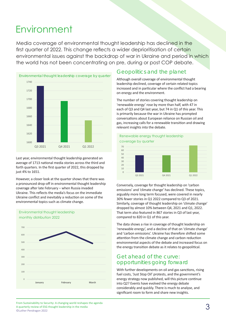# **Environment**

Media coverage of environmental thought leadership has declined in the first quarter of 2022. This change reflects a wider deprioritisation of certain environmental issues against the backdrop of war in Ukraine and period in which the world has not been concentrating on pre, during or post COP debate.



Last year, environmental thought leadership generated an average of 1713 national media stories across the third and forth quarters. In the first quarter of 2022, this dropped by just 4% to 1651.

However, a closer look at the quarter shows that there was a pronounced drop-off in environmental thought leadership coverage after late February – when Russia invaded Ukraine. This reflects the media's focus on the immediate Ukraine conflict and inevitably a reduction on some of the environmental topics such as climate change.



### Geopolitics and the planet

Although overall coverage of environmental thought leadership declined, coverage of certain related topics increased and in particular where the conflict had a bearing on energy and the environment.

The number of stories covering thought leadership on 'renewable energy' rose by more than half, with 47 in each of Q3 and Q4 last year, but 74 in Q1 of this year. This is primarily because the war in Ukraine has prompted conversations about European reliance on Russian oil and gas, increasing calls for a renewable transition and drawing relevant insights into the debate.



Conversely, coverage for thought leadership on 'carbon emissions' and 'climate change' has declined. These topics, arguably more long term focused, were covered in nearly 30% fewer stories in Q1 2022 compared to Q3 of 2021. Similarly, coverage of thought leadership on 'climate change' dropped by almost 10% between Q4, 2021 and Q1, 2022. That term also featured in 867 stories in Q3 of last year, compared to 820 in Q1 of this year.

The data shows a rise in coverage of thought leadership on 'renewable energy', and a decline of that on 'climate change' and 'carbon emissions'. Ukraine has therefore shifted some attention from the climate change and carbon reduction environmental aspects of the debate and increased focus on the energy transition debate as it relates to geopolitical.

# Get ahead of the curve: opportunities going forward

With further developments on oil and gas sanctions, rising fuel costs, 'Just Stop Oil' protests, and the government's energy strategy now published, will this picture continue into Q2? Events have evolved the energy debate considerably and quickly. There is much to analyse, and significant room to form and share new insights.

From Sustainability to Security: A changing world reshapes the agenda<br>  $\mathcal{A}$  quarterly review of ESG thought leadership in the media A quarterly review of ESG thought leadership in the media ©Luther Pendragon 2022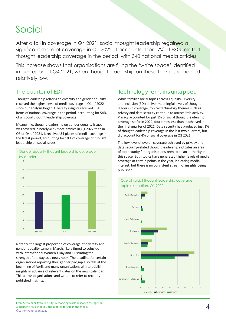# Social

After a fall in coverage in Q4 2021, social thought leadership regained a significant share of coverage in Q1 2022. It accounted for 17% of ESG-related thought leadership coverage in the period, with 340 national media articles.

This increase shows that organisations are filling the 'white space' identified in our report of Q4 2021, when thought leadership on these themes remained relatively low.

### The quarter of EDI

Thought leadership relating to diversity and gender equality received the highest level of media coverage in Q1 of 2022 since our analysis began. Diversity insights received 184 items of national coverage in the period, accounting for 54% of all social thought leadership coverage.

Meanwhile, thought leadership on gender equality issues was covered in nearly 40% more articles in Q1 2022 than in Q3 or Q4 of 2021. It received 34 pieces of media coverage in the latest period, accounting for 10% of coverage of thought leadership on social issues.



Notably, the largest proportion of coverage of diversity and gender equality came in March, likely timed to coincide with International Women's Day and illustrating the strength of the day as a news hook. The deadline for certain organisations reporting their gender pay gap also falls at the beginning of April, and many organisations aim to publish insights in advance of relevant dates on the news calendar. This allows organisations and writers to refer to recently published insights.

# Technology remains untapped

While familiar social topics across Equality, Diversity and Inclusion (EDI) deliver meaningful levels of thought leadership coverage, topical technology themes such as privacy and data security continue to attract little activity. Privacy accounted for just 1% of social thought leadership coverage so far in 2022, four times less than it achieved in the final quarter of 2021. Data security has produced just 1% of thought leadership coverage in the last two quarters, but did account for 4% of social coverage in Q3 2021.

The low level of overall coverage achieved by privacy and data security-related thought leadership indicates an area of opportunity for organisations keen to be an authority in this space. Both topics have generated higher levels of media coverage at certain points in the year, indicating media interest, but there is no consistent stream of insights being published.

![](_page_3_Figure_11.jpeg)

### Overall social thought leadership coverage topic distribution, Q1 2022

From Sustainability to Security: A changing world reshapes the agenda<br>
A quarterly review of ESG thought leadership in the media A quarterly review of ESG thought leadership in the media ©Luther Pendragon 2022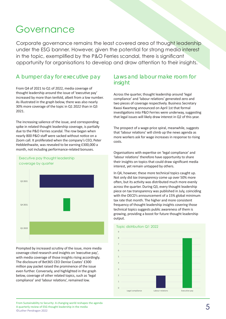# Governance

Corporate governance remains the least covered area of thought leadership under the ESG banner. However, given the potential for strong media interest in the topic, exemplified by the P&O Ferries scandal, there is significant opportunity for organisations to develop and draw attention to their insights.

# A bumper day for executive pay

From Q4 of 2021 to Q1 of 2022, media coverage of thought leadership around the issue of 'executive pay' increased by more than tenfold, albeit from a low number. As illustrated in the graph below, there was also nearly 30% more coverage of the topic in Q1 2022 than in Q3 2021.

The increasing salience of the issue, and corresponding spike in related thought leadership coverage, is partially due to the P&O Ferries scandal. The row began when nearly 800 P&O staff were sacked without notice on a Zoom call. It proliferated when the company's CEO, Peter Hebblethwaite, was revealed to be earning £300,000 a month, not including performance-related bonuses.

![](_page_4_Figure_5.jpeg)

Prompted by increased scrutiny of the issue, more media coverage cited research and insights on 'executive pay', with media coverage of those insights rising accordingly. The disclosure of Bet365 CEO Denise Coates' £300 million pay packet raised the prominence of the issue even further. Conversely, and highlighted in the graph below, coverage of other related topics, such as 'legal compliance' and 'labour relations', remained low.

### Laws and labour make room for insight

Across the quarter, thought leadership around 'legal compliance' and 'labour relations' generated zero and two pieces of coverage respectively. Business Secretary Kwasi Kwarteng announced on April 1st that formal investigations into P&O Ferries were underway, suggesting that legal issues will likely draw interest in Q2 of this year.

The prospect of a wage-price spiral, meanwhile, suggests that 'labour relations' will climb up the news agenda as more workers ask for wage increases in response to rising costs.

Organisations with expertise on 'legal compliance' and 'labour relations' therefore have opportunity to share their insights on topics that could draw significant media interest, yet remain untapped by others.

In Q4, however, these more technical topics caught up. Not only did *tax transparency* come up over 50% more often, but its activity was distributed much more evenly across the quarter. During Q3, every thought leadership piece on tax transparency was published in July, coinciding with the OECD's announcement of a 15% global minimum tax rate that month. The higher and more consistent frequency of thought leadership insights covering those technical topics suggests public awareness of them is growing, providing a boost for future thought leadership output.

![](_page_4_Figure_12.jpeg)

#### Topic distribution Q1 2022

From Sustainability to Security: A changing world reshapes the agenda<br>
A quarterly review of ESG thought leadership in the media A quarterly review of ESG thought leadership in the media ©Luther Pendragon 2022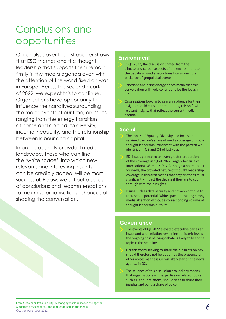# Conclusions and opportunities

Our analysis over the first quarter shows that ESG themes and the thought leadership that supports them remain firmly in the media agenda even with the attention of the world fixed on war in Europe. Across the second quarter of 2022, we expect this to continue. Organisations have opportunity to influence the narratives surrounding the major events of our time, on issues ranging from the energy transition at home and abroad, to diversity, income inequality, and the relationship between labour and capital.

In an increasingly crowded media landscape, those who can find the 'white space', into which new, relevant, and interesting insights can be credibly added, will be most successful. Below, we set out a series of conclusions and recommendations to maximise organisations' chances of shaping the conversation.

### **Environment**

- In Q1 2022, the discussion shifted from the climate and carbon aspects of the environment to the debate around energy transition against the backdrop of geopolitical events.
- Sanctions and rising energy prices mean that this conversation will likely continue to be the focus in Q2.
- Organisations looking to gain an audience for their insights should consider pre-empting this shift with relevant insights that reflect the current media agenda.

# **Social**

- The topics of Equality, Diversity and Inclusion retained the lion's share of media coverage on social thought leadership, consistent with the pattern we identified in Q3 and Q4 of last year.
- EDI issues generated an even greater proportion of the coverage in Q1 of 2022, largely because of International Women's Day. Although a potent hook for news, the crowded nature of thought leadership coverage in this area means that organisations must significantly impact the debate if they are to cut through with their insights.
- Issues such as data security and privacy continue to represent a potential 'white space', attracting strong media attention without a corresponding volume of thought leadership outputs.

### **Governance**

- The events of Q1 2022 elevated executive pay as an issue, and with inflation remaining at historic levels, the ongoing cost of living debate is likely to keep the topic in the headlines.
- > Organisations seeking to share their insights on pay should therefore not be put off by the presence of other voices, as the issue will likely stay on the news agenda in Q2.
- The salience of this discussion around pay means that organisations with expertise on related topics such as labour relations, should seek to share their insights and build a share of voice.